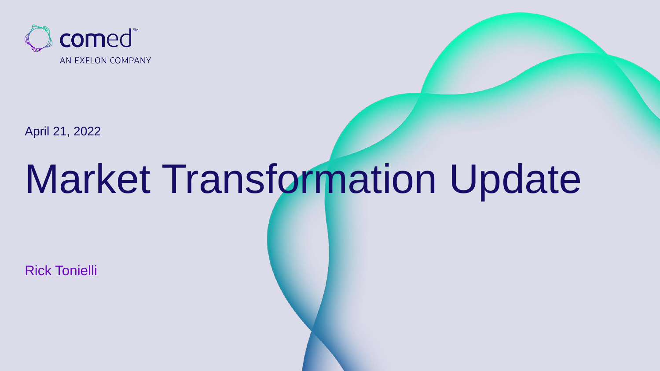

April 21, 2022

## Market Transformation Update

Rick Tonielli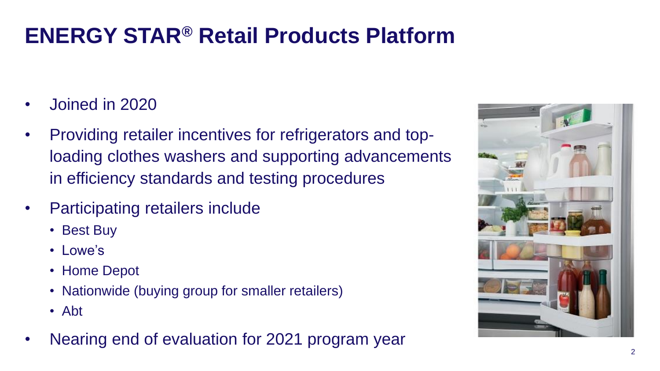## **ENERGY STAR® Retail Products Platform**

- Joined in 2020
- Providing retailer incentives for refrigerators and toploading clothes washers and supporting advancements in efficiency standards and testing procedures
- Participating retailers include
	- Best Buy
	- Lowe's
	- Home Depot
	- Nationwide (buying group for smaller retailers)
	- Abt
- Nearing end of evaluation for 2021 program year

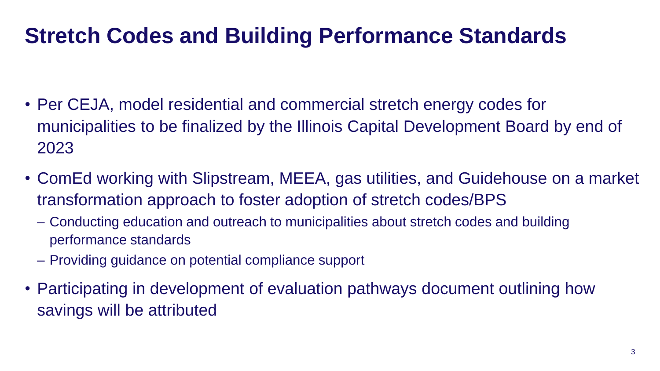## **Stretch Codes and Building Performance Standards**

- Per CEJA, model residential and commercial stretch energy codes for municipalities to be finalized by the Illinois Capital Development Board by end of 2023
- ComEd working with Slipstream, MEEA, gas utilities, and Guidehouse on a market transformation approach to foster adoption of stretch codes/BPS
	- Conducting education and outreach to municipalities about stretch codes and building performance standards
	- Providing guidance on potential compliance support
- Participating in development of evaluation pathways document outlining how savings will be attributed